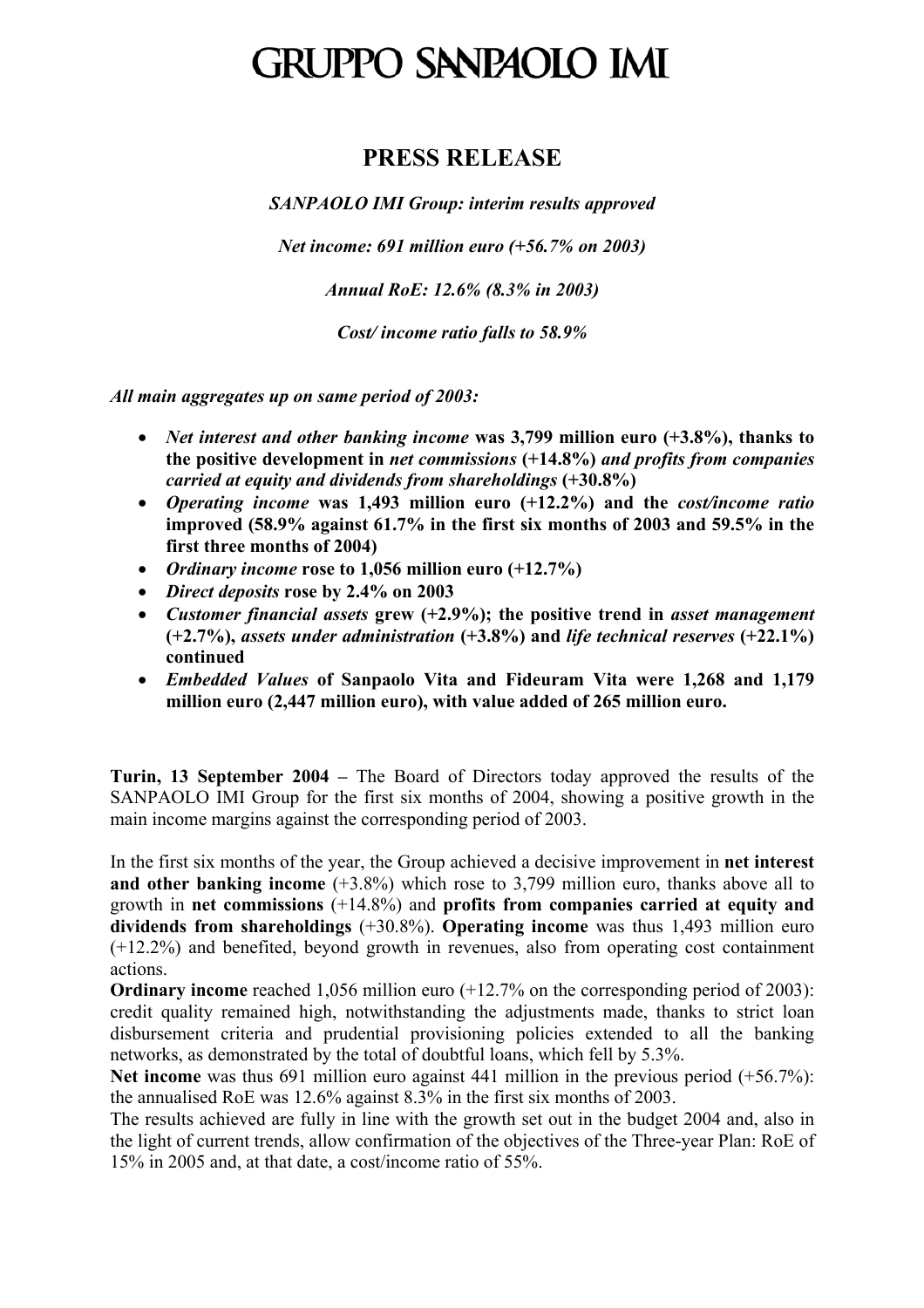# GRUPPO SANPAOLO IMI

#### **PRESS RELEASE**

*SANPAOLO IMI Group: interim results approved* 

*Net income: 691 million euro (+56.7% on 2003)* 

*Annual RoE: 12.6% (8.3% in 2003)* 

*Cost/ income ratio falls to 58.9%* 

*All main aggregates up on same period of 2003:* 

- *Net interest and other banking income* **was 3,799 million euro (+3.8%), thanks to the positive development in** *net commissions* **(+14.8%)** *and profits from companies carried at equity and dividends from shareholdings* **(+30.8%)**
- *Operating income* **was 1,493 million euro (+12.2%) and the** *cost/income ratio* **improved (58.9% against 61.7% in the first six months of 2003 and 59.5% in the first three months of 2004)**
- *Ordinary income* **rose to 1,056 million euro (+12.7%)**
- *Direct deposits* **rose by 2.4% on 2003**
- *Customer financial assets* **grew (+2.9%); the positive trend in** *asset management* **(+2.7%),** *assets under administration* **(+3.8%) and** *life technical reserves* **(+22.1%) continued**
- *Embedded Values* **of Sanpaolo Vita and Fideuram Vita were 1,268 and 1,179 million euro (2,447 million euro), with value added of 265 million euro.**

**Turin, 13 September 2004 –** The Board of Directors today approved the results of the SANPAOLO IMI Group for the first six months of 2004, showing a positive growth in the main income margins against the corresponding period of 2003.

In the first six months of the year, the Group achieved a decisive improvement in **net interest and other banking income** (+3.8%) which rose to 3,799 million euro, thanks above all to growth in **net commissions** (+14.8%) and **profits from companies carried at equity and dividends from shareholdings** (+30.8%). **Operating income** was thus 1,493 million euro (+12.2%) and benefited, beyond growth in revenues, also from operating cost containment actions.

**Ordinary income** reached 1,056 million euro (+12.7% on the corresponding period of 2003): credit quality remained high, notwithstanding the adjustments made, thanks to strict loan disbursement criteria and prudential provisioning policies extended to all the banking networks, as demonstrated by the total of doubtful loans, which fell by 5.3%.

**Net income** was thus 691 million euro against 441 million in the previous period (+56.7%): the annualised RoE was 12.6% against 8.3% in the first six months of 2003.

The results achieved are fully in line with the growth set out in the budget 2004 and, also in the light of current trends, allow confirmation of the objectives of the Three-year Plan: RoE of 15% in 2005 and, at that date, a cost/income ratio of 55%.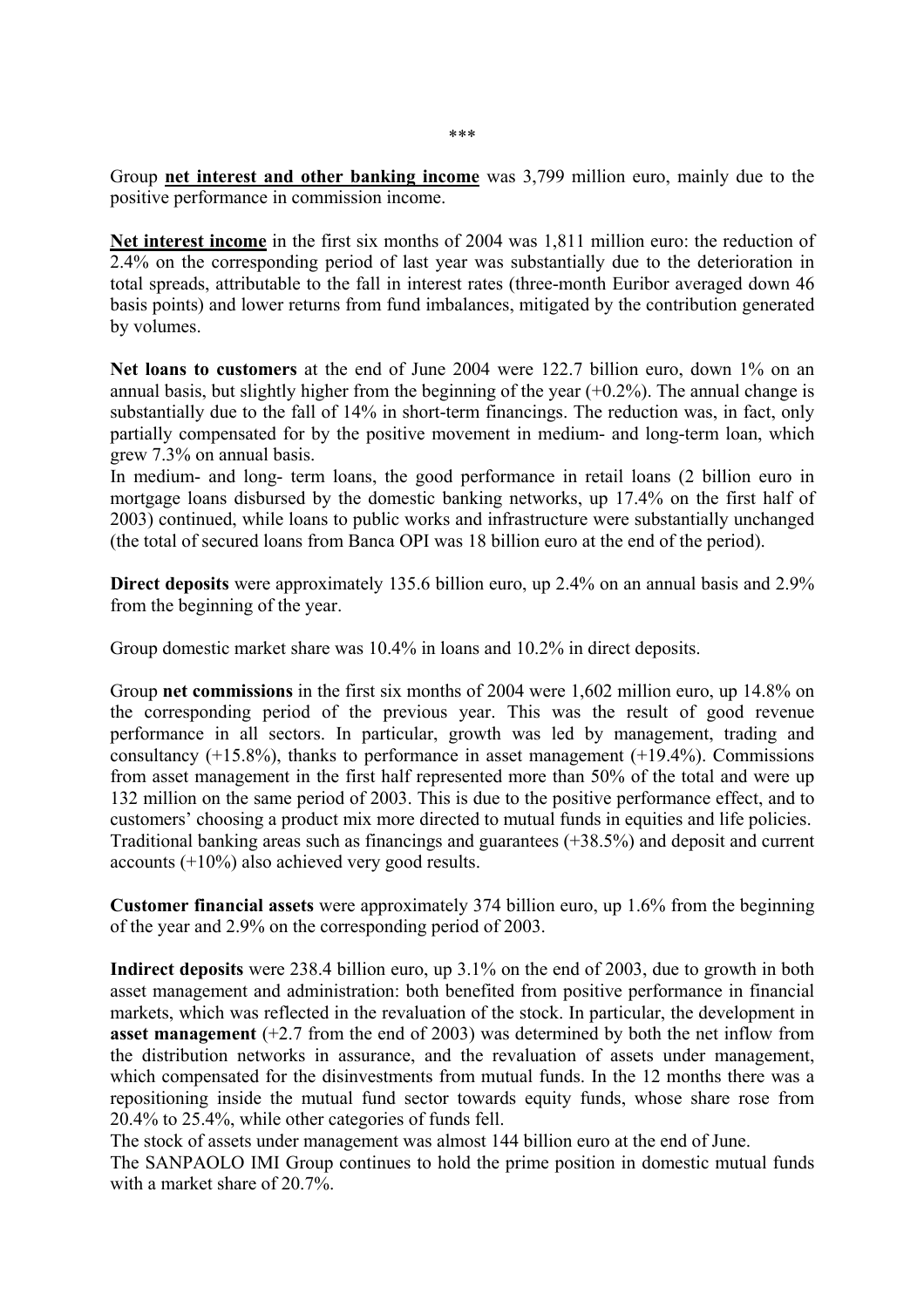∗∗∗

Group **net interest and other banking income** was 3,799 million euro, mainly due to the positive performance in commission income.

**Net interest income** in the first six months of 2004 was 1,811 million euro: the reduction of 2.4% on the corresponding period of last year was substantially due to the deterioration in total spreads, attributable to the fall in interest rates (three-month Euribor averaged down 46 basis points) and lower returns from fund imbalances, mitigated by the contribution generated by volumes.

Net loans to customers at the end of June 2004 were 122.7 billion euro, down 1% on an annual basis, but slightly higher from the beginning of the year  $(+0.2\%)$ . The annual change is substantially due to the fall of 14% in short-term financings. The reduction was, in fact, only partially compensated for by the positive movement in medium- and long-term loan, which grew 7.3% on annual basis.

In medium- and long- term loans, the good performance in retail loans (2 billion euro in mortgage loans disbursed by the domestic banking networks, up 17.4% on the first half of 2003) continued, while loans to public works and infrastructure were substantially unchanged (the total of secured loans from Banca OPI was 18 billion euro at the end of the period).

**Direct deposits** were approximately 135.6 billion euro, up 2.4% on an annual basis and 2.9% from the beginning of the year.

Group domestic market share was 10.4% in loans and 10.2% in direct deposits.

Group **net commissions** in the first six months of 2004 were 1,602 million euro, up 14.8% on the corresponding period of the previous year. This was the result of good revenue performance in all sectors. In particular, growth was led by management, trading and consultancy  $(+15.8\%)$ , thanks to performance in asset management  $(+19.4\%)$ . Commissions from asset management in the first half represented more than 50% of the total and were up 132 million on the same period of 2003. This is due to the positive performance effect, and to customers' choosing a product mix more directed to mutual funds in equities and life policies. Traditional banking areas such as financings and guarantees (+38.5%) and deposit and current accounts (+10%) also achieved very good results.

**Customer financial assets** were approximately 374 billion euro, up 1.6% from the beginning of the year and 2.9% on the corresponding period of 2003.

**Indirect deposits** were 238.4 billion euro, up 3.1% on the end of 2003, due to growth in both asset management and administration: both benefited from positive performance in financial markets, which was reflected in the revaluation of the stock. In particular, the development in **asset management** (+2.7 from the end of 2003) was determined by both the net inflow from the distribution networks in assurance, and the revaluation of assets under management, which compensated for the disinvestments from mutual funds. In the 12 months there was a repositioning inside the mutual fund sector towards equity funds, whose share rose from 20.4% to 25.4%, while other categories of funds fell.

The stock of assets under management was almost 144 billion euro at the end of June.

The SANPAOLO IMI Group continues to hold the prime position in domestic mutual funds with a market share of 20.7%.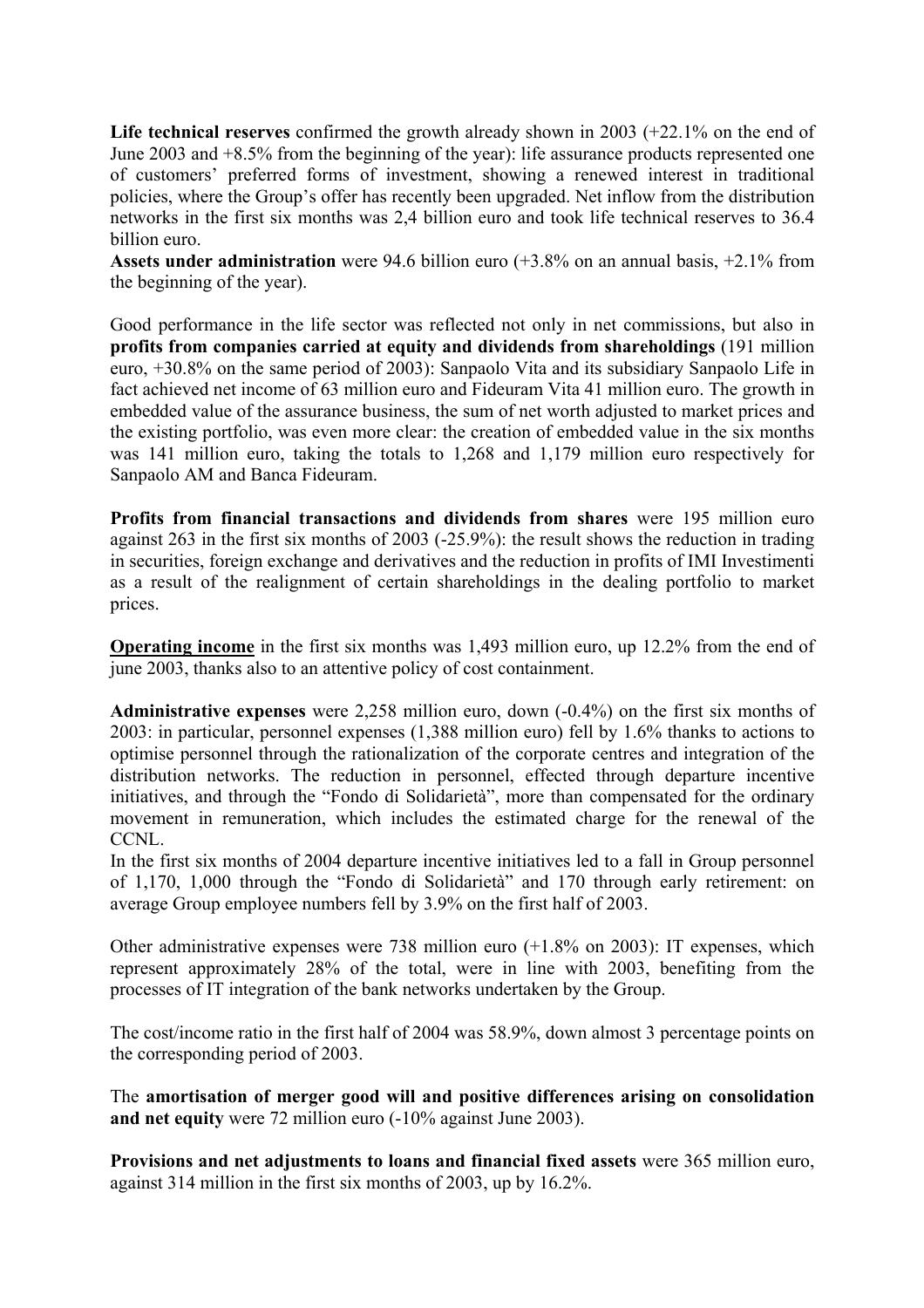Life technical reserves confirmed the growth already shown in 2003 (+22.1% on the end of June 2003 and +8.5% from the beginning of the year): life assurance products represented one of customers' preferred forms of investment, showing a renewed interest in traditional policies, where the Group's offer has recently been upgraded. Net inflow from the distribution networks in the first six months was 2,4 billion euro and took life technical reserves to 36.4 billion euro.

**Assets under administration** were 94.6 billion euro (+3.8% on an annual basis, +2.1% from the beginning of the year).

Good performance in the life sector was reflected not only in net commissions, but also in **profits from companies carried at equity and dividends from shareholdings** (191 million euro, +30.8% on the same period of 2003): Sanpaolo Vita and its subsidiary Sanpaolo Life in fact achieved net income of 63 million euro and Fideuram Vita 41 million euro. The growth in embedded value of the assurance business, the sum of net worth adjusted to market prices and the existing portfolio, was even more clear: the creation of embedded value in the six months was 141 million euro, taking the totals to 1,268 and 1,179 million euro respectively for Sanpaolo AM and Banca Fideuram.

**Profits from financial transactions and dividends from shares** were 195 million euro against 263 in the first six months of 2003 (-25.9%): the result shows the reduction in trading in securities, foreign exchange and derivatives and the reduction in profits of IMI Investimenti as a result of the realignment of certain shareholdings in the dealing portfolio to market prices.

**Operating income** in the first six months was 1,493 million euro, up 12.2% from the end of june 2003, thanks also to an attentive policy of cost containment.

**Administrative expenses** were 2,258 million euro, down (-0.4%) on the first six months of 2003: in particular, personnel expenses (1,388 million euro) fell by 1.6% thanks to actions to optimise personnel through the rationalization of the corporate centres and integration of the distribution networks. The reduction in personnel, effected through departure incentive initiatives, and through the "Fondo di Solidarietà", more than compensated for the ordinary movement in remuneration, which includes the estimated charge for the renewal of the CCNL.

In the first six months of 2004 departure incentive initiatives led to a fall in Group personnel of 1,170, 1,000 through the "Fondo di Solidarietà" and 170 through early retirement: on average Group employee numbers fell by 3.9% on the first half of 2003.

Other administrative expenses were 738 million euro (+1.8% on 2003): IT expenses, which represent approximately 28% of the total, were in line with 2003, benefiting from the processes of IT integration of the bank networks undertaken by the Group.

The cost/income ratio in the first half of 2004 was 58.9%, down almost 3 percentage points on the corresponding period of 2003.

The **amortisation of merger good will and positive differences arising on consolidation and net equity** were 72 million euro (-10% against June 2003).

**Provisions and net adjustments to loans and financial fixed assets** were 365 million euro, against 314 million in the first six months of 2003, up by 16.2%.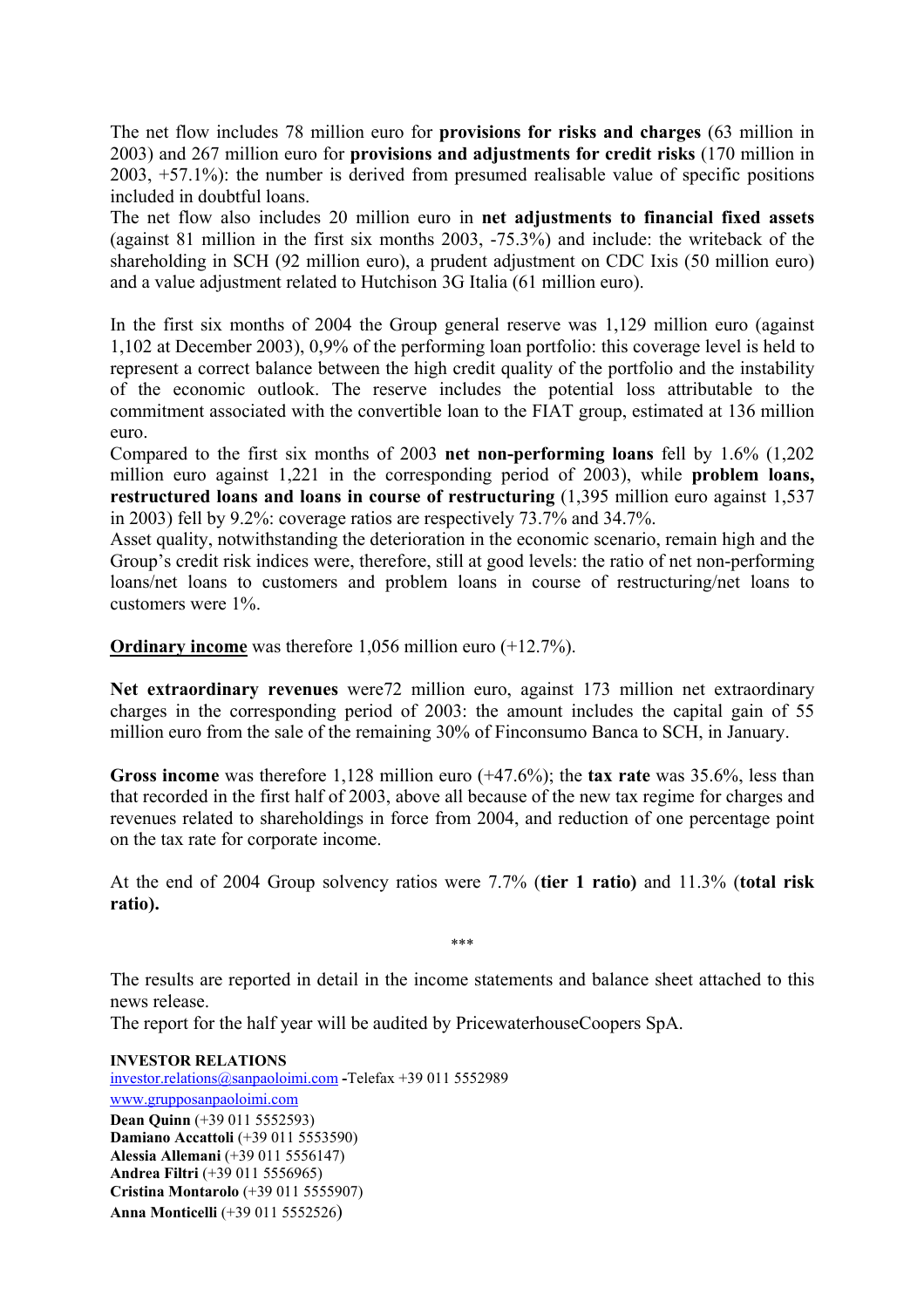The net flow includes 78 million euro for **provisions for risks and charges** (63 million in 2003) and 267 million euro for **provisions and adjustments for credit risks** (170 million in 2003, +57.1%): the number is derived from presumed realisable value of specific positions included in doubtful loans.

The net flow also includes 20 million euro in **net adjustments to financial fixed assets**  (against 81 million in the first six months 2003, -75.3%) and include: the writeback of the shareholding in SCH (92 million euro), a prudent adjustment on CDC Ixis (50 million euro) and a value adjustment related to Hutchison 3G Italia (61 million euro).

In the first six months of 2004 the Group general reserve was 1,129 million euro (against 1,102 at December 2003), 0,9% of the performing loan portfolio: this coverage level is held to represent a correct balance between the high credit quality of the portfolio and the instability of the economic outlook. The reserve includes the potential loss attributable to the commitment associated with the convertible loan to the FIAT group, estimated at 136 million euro.

Compared to the first six months of 2003 **net non-performing loans** fell by 1.6% (1,202 million euro against 1,221 in the corresponding period of 2003), while **problem loans, restructured loans and loans in course of restructuring** (1,395 million euro against 1,537 in 2003) fell by 9.2%: coverage ratios are respectively 73.7% and 34.7%.

Asset quality, notwithstanding the deterioration in the economic scenario, remain high and the Group's credit risk indices were, therefore, still at good levels: the ratio of net non-performing loans/net loans to customers and problem loans in course of restructuring/net loans to customers were 1%.

**Ordinary income** was therefore 1,056 million euro (+12.7%).

**Net extraordinary revenues** were72 million euro, against 173 million net extraordinary charges in the corresponding period of 2003: the amount includes the capital gain of 55 million euro from the sale of the remaining 30% of Finconsumo Banca to SCH, in January.

**Gross income** was therefore 1,128 million euro (+47.6%); the **tax rate** was 35.6%, less than that recorded in the first half of 2003, above all because of the new tax regime for charges and revenues related to shareholdings in force from 2004, and reduction of one percentage point on the tax rate for corporate income.

At the end of 2004 Group solvency ratios were 7.7% (**tier 1 ratio)** and 11.3% (**total risk ratio).** 

The results are reported in detail in the income statements and balance sheet attached to this news release.

∗∗∗

The report for the half year will be audited by PricewaterhouseCoopers SpA.

**INVESTOR RELATIONS**  [investor.relations@sanpaoloimi.com](mailto:investor.relations@sanpaoloimi.com) **-**Telefax +39 011 5552989 [www.grupposanpaoloimi.com](http://www.grupposanpaoloimi.com/) **Dean Quinn** (+39 011 5552593) **Damiano Accattoli** (+39 011 5553590) **Alessia Allemani** (+39 011 5556147) **Andrea Filtri** (+39 011 5556965) **Cristina Montarolo** (+39 011 5555907) **Anna Monticelli** (+39 011 5552526)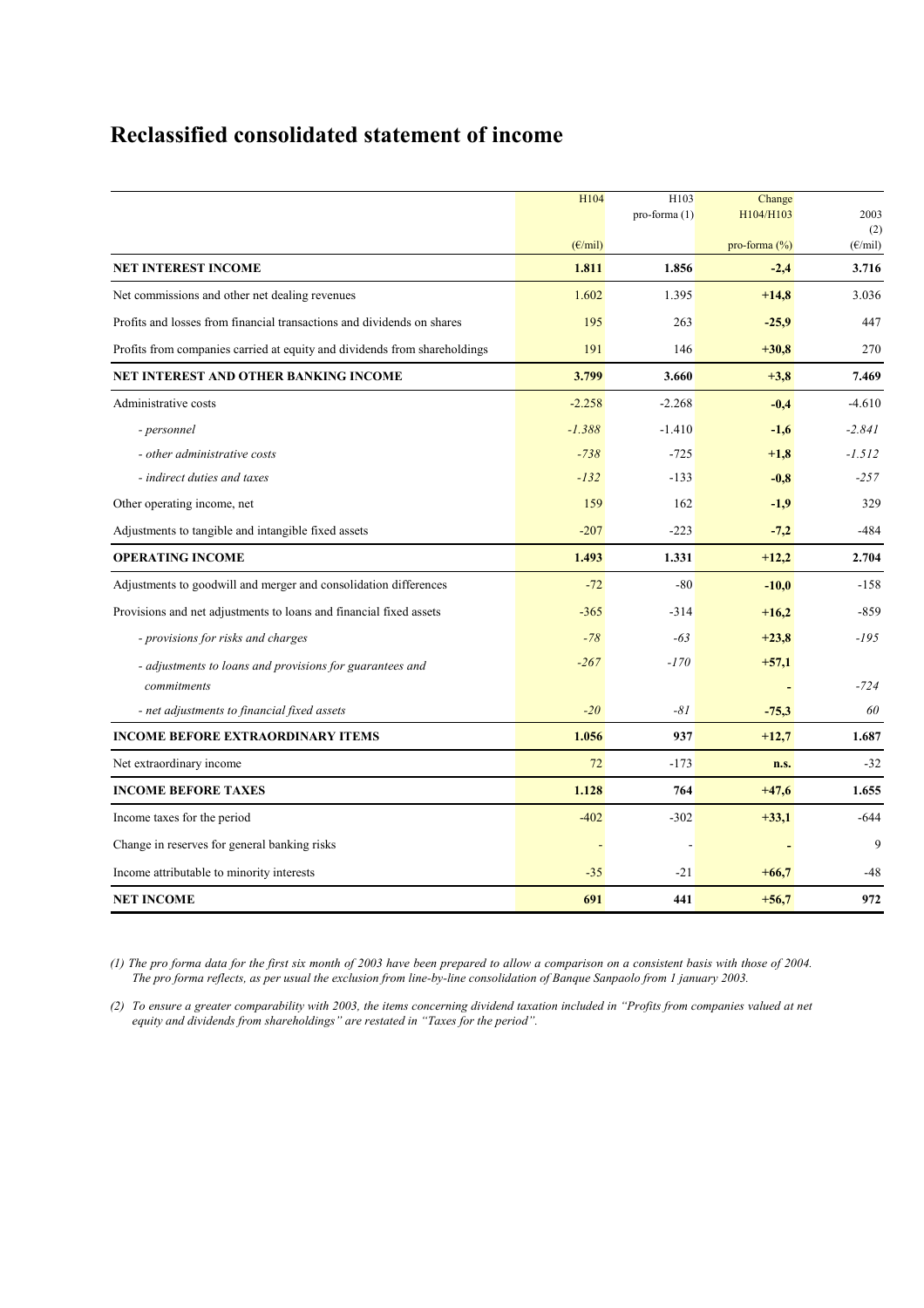# **Reclassified consolidated statement of income**

|                                                                           | H104             | H103<br>pro-forma $(1)$ | Change<br>H104/H103 | 2003             |
|---------------------------------------------------------------------------|------------------|-------------------------|---------------------|------------------|
|                                                                           |                  |                         |                     | (2)              |
|                                                                           | $(E/\text{mil})$ |                         | pro-forma $(\%)$    | $(E/\text{mil})$ |
| <b>NET INTEREST INCOME</b>                                                | 1.811            | 1.856                   | $-2,4$              | 3.716            |
| Net commissions and other net dealing revenues                            | 1.602            | 1.395                   | $+14,8$             | 3.036            |
| Profits and losses from financial transactions and dividends on shares    | 195              | 263                     | $-25,9$             | 447              |
| Profits from companies carried at equity and dividends from shareholdings | 191              | 146                     | $+30,8$             | 270              |
| NET INTEREST AND OTHER BANKING INCOME                                     | 3.799            | 3.660                   | $+3,8$              | 7.469            |
| Administrative costs                                                      | $-2.258$         | $-2.268$                | $-0,4$              | $-4.610$         |
| - personnel                                                               | $-1.388$         | $-1.410$                | $-1,6$              | $-2.841$         |
| - other administrative costs                                              | $-738$           | $-725$                  | $+1,8$              | $-1.512$         |
| - indirect duties and taxes                                               | $-132$           | $-133$                  | $-0,8$              | $-257$           |
| Other operating income, net                                               | 159              | 162                     | $-1,9$              | 329              |
| Adjustments to tangible and intangible fixed assets                       | $-207$           | $-223$                  | $-7,2$              | $-484$           |
| <b>OPERATING INCOME</b>                                                   | 1.493            | 1.331                   | $+12,2$             | 2.704            |
| Adjustments to goodwill and merger and consolidation differences          | $-72$            | $-80$                   | $-10,0$             | $-158$           |
| Provisions and net adjustments to loans and financial fixed assets        | $-365$           | $-314$                  | $+16,2$             | $-859$           |
| - provisions for risks and charges                                        | $-78$            | $-63$                   | $+23,8$             | $-195$           |
| - adjustments to loans and provisions for guarantees and                  | $-267$           | $-170$                  | $+57,1$             |                  |
| commitments                                                               |                  |                         |                     | $-724$           |
| - net adjustments to financial fixed assets                               | $-20$            | $-81$                   | $-75,3$             | 60               |
| <b>INCOME BEFORE EXTRAORDINARY ITEMS</b>                                  | 1.056            | 937                     | $+12,7$             | 1.687            |
| Net extraordinary income                                                  | 72               | $-173$                  | n.s.                | $-32$            |
| <b>INCOME BEFORE TAXES</b>                                                | 1.128            | 764                     | $+47,6$             | 1.655            |
| Income taxes for the period                                               | $-402$           | $-302$                  | $+33,1$             | $-644$           |
| Change in reserves for general banking risks                              |                  |                         |                     | 9                |
| Income attributable to minority interests                                 | $-35$            | $-21$                   | $+66,7$             | $-48$            |
| <b>NET INCOME</b>                                                         | 691              | 441                     | $+56,7$             | 972              |

*(1) The pro forma data for the first six month of 2003 have been prepared to allow a comparison on a consistent basis with those of 2004. The pro forma reflects, as per usual the exclusion from line-by-line consolidation of Banque Sanpaolo from 1 january 2003.* 

*(2) To ensure a greater comparability with 2003, the items concerning dividend taxation included in "Profits from companies valued at net equity and dividends from shareholdings" are restated in "Taxes for the period".*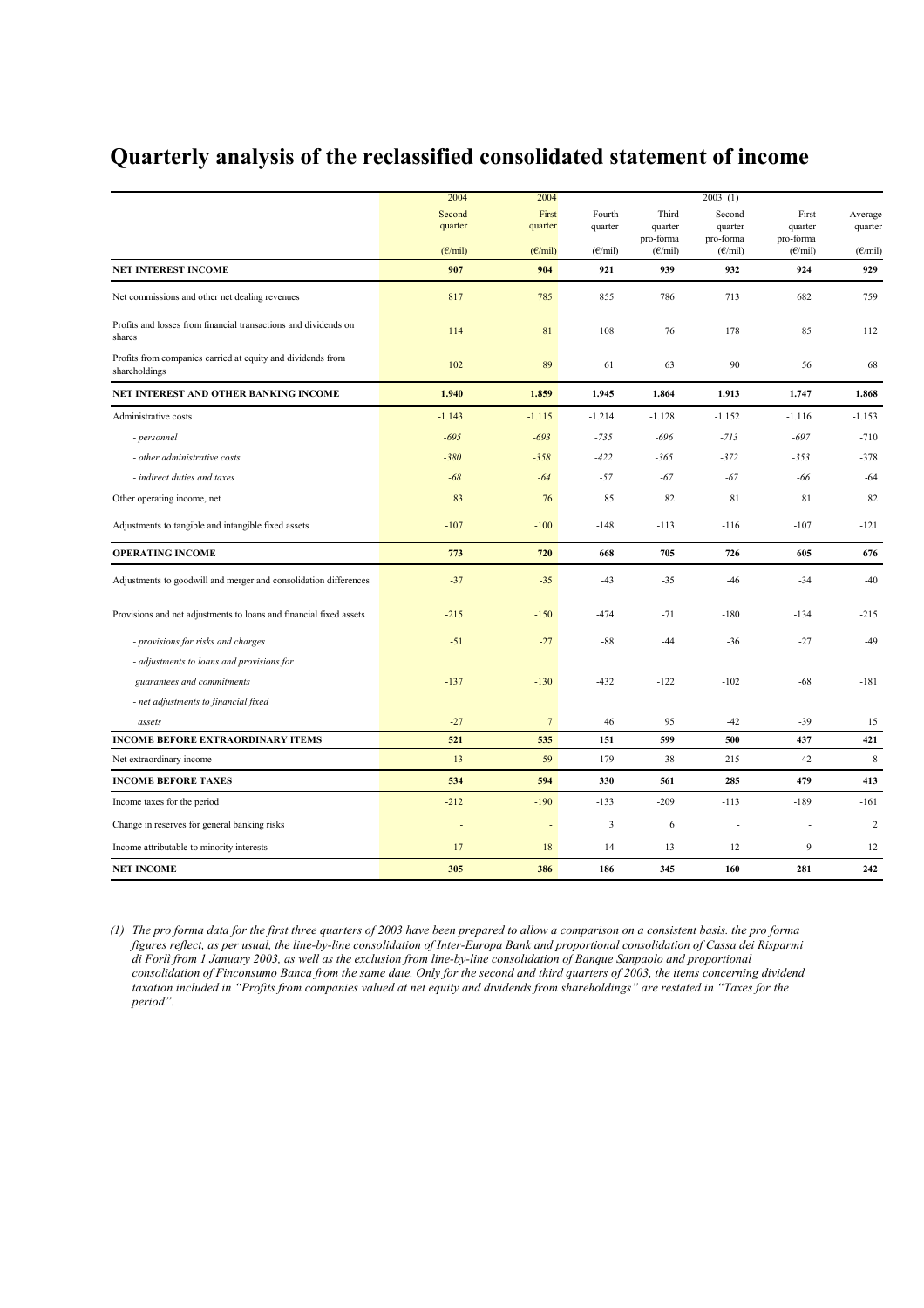## **Quarterly analysis of the reclassified consolidated statement of income**

|                                                                              | 2004                    | 2004                    |                   |                               | 2003(1)                        |                               |                         |
|------------------------------------------------------------------------------|-------------------------|-------------------------|-------------------|-------------------------------|--------------------------------|-------------------------------|-------------------------|
|                                                                              | Second<br>quarter       | First<br>quarter        | Fourth<br>quarter | Third<br>quarter<br>pro-forma | Second<br>quarter<br>pro-forma | First<br>quarter<br>pro-forma | Average<br>quarter      |
|                                                                              | $(E/\text{mil})$<br>907 | $(E/\text{mil})$<br>904 | $(E/\text{mil})$  | $(E/\text{mil})$<br>939       | $(E/\text{mil})$<br>932        | $(E/\text{mil})$<br>924       | $(E/\text{mil})$<br>929 |
| <b>NET INTEREST INCOME</b>                                                   |                         |                         | 921               |                               |                                |                               |                         |
| Net commissions and other net dealing revenues                               | 817                     | 785                     | 855               | 786                           | 713                            | 682                           | 759                     |
| Profits and losses from financial transactions and dividends on<br>shares    | 114                     | 81                      | 108               | 76                            | 178                            | 85                            | 112                     |
| Profits from companies carried at equity and dividends from<br>shareholdings | 102                     | 89                      | 61                | 63                            | 90                             | 56                            | 68                      |
| NET INTEREST AND OTHER BANKING INCOME                                        | 1.940                   | 1.859                   | 1.945             | 1.864                         | 1.913                          | 1.747                         | 1.868                   |
| Administrative costs                                                         | $-1.143$                | $-1.115$                | $-1.214$          | $-1.128$                      | $-1.152$                       | $-1.116$                      | $-1.153$                |
| - personnel                                                                  | $-695$                  | $-693$                  | $-735$            | $-696$                        | $-713$                         | $-697$                        | $-710$                  |
| - other administrative costs                                                 | $-380$                  | $-358$                  | $-422$            | $-365$                        | $-372$                         | $-353$                        | $-378$                  |
| - indirect duties and taxes                                                  | $-68$                   | $-64$                   | $-57$             | $-67$                         | $-67$                          | $-66$                         | $-64$                   |
| Other operating income, net                                                  | 83                      | 76                      | 85                | 82                            | 81                             | 81                            | 82                      |
| Adjustments to tangible and intangible fixed assets                          | $-107$                  | $-100$                  | $-148$            | $-113$                        | $-116$                         | $-107$                        | $-121$                  |
| <b>OPERATING INCOME</b>                                                      | 773                     | 720                     | 668               | 705                           | 726                            | 605                           | 676                     |
| Adjustments to goodwill and merger and consolidation differences             | $-37$                   | $-35$                   | $-43$             | $-35$                         | $-46$                          | $-34$                         | $-40$                   |
| Provisions and net adjustments to loans and financial fixed assets           | $-215$                  | $-150$                  | $-474$            | $-71$                         | $-180$                         | $-134$                        | $-215$                  |
| - provisions for risks and charges                                           | $-51$                   | $-27$                   | $-88$             | $-44$                         | $-36$                          | $-27$                         | $-49$                   |
| - adjustments to loans and provisions for                                    |                         |                         |                   |                               |                                |                               |                         |
| guarantees and commitments                                                   | $-137$                  | $-130$                  | $-432$            | $-122$                        | $-102$                         | $-68$                         | $-181$                  |
| - net adjustments to financial fixed                                         |                         |                         |                   |                               |                                |                               |                         |
| assets                                                                       | $-27$                   | $7\phantom{.0}$         | 46                | 95                            | $-42$                          | $-39$                         | 15                      |
| <b>INCOME BEFORE EXTRAORDINARY ITEMS</b>                                     | 521                     | 535                     | 151               | 599                           | 500                            | 437                           | 421                     |
| Net extraordinary income                                                     | 13                      | 59                      | 179               | $-38$                         | $-215$                         | 42                            | $\mbox{-}8$             |
| <b>INCOME BEFORE TAXES</b>                                                   | 534                     | 594                     | 330               | 561                           | 285                            | 479                           | 413                     |
| Income taxes for the period                                                  | $-212$                  | $-190$                  | $-133$            | $-209$                        | $-113$                         | $-189$                        | $-161$                  |
| Change in reserves for general banking risks                                 |                         | Ĭ,                      | 3                 | 6                             | $\overline{\phantom{a}}$       |                               | $\overline{2}$          |
| Income attributable to minority interests                                    | $-17$                   | $-18$                   | $-14$             | $-13$                         | $-12$                          | $-9$                          | $-12$                   |
| <b>NET INCOME</b>                                                            | 305                     | 386                     | 186               | 345                           | 160                            | 281                           | 242                     |

*(1) The pro forma data for the first three quarters of 2003 have been prepared to allow a comparison on a consistent basis. the pro forma figures reflect, as per usual, the line-by-line consolidation of Inter-Europa Bank and proportional consolidation of Cassa dei Risparmi di Forlì from 1 January 2003, as well as the exclusion from line-by-line consolidation of Banque Sanpaolo and proportional consolidation of Finconsumo Banca from the same date. Only for the second and third quarters of 2003, the items concerning dividend taxation included in "Profits from companies valued at net equity and dividends from shareholdings" are restated in "Taxes for the period".*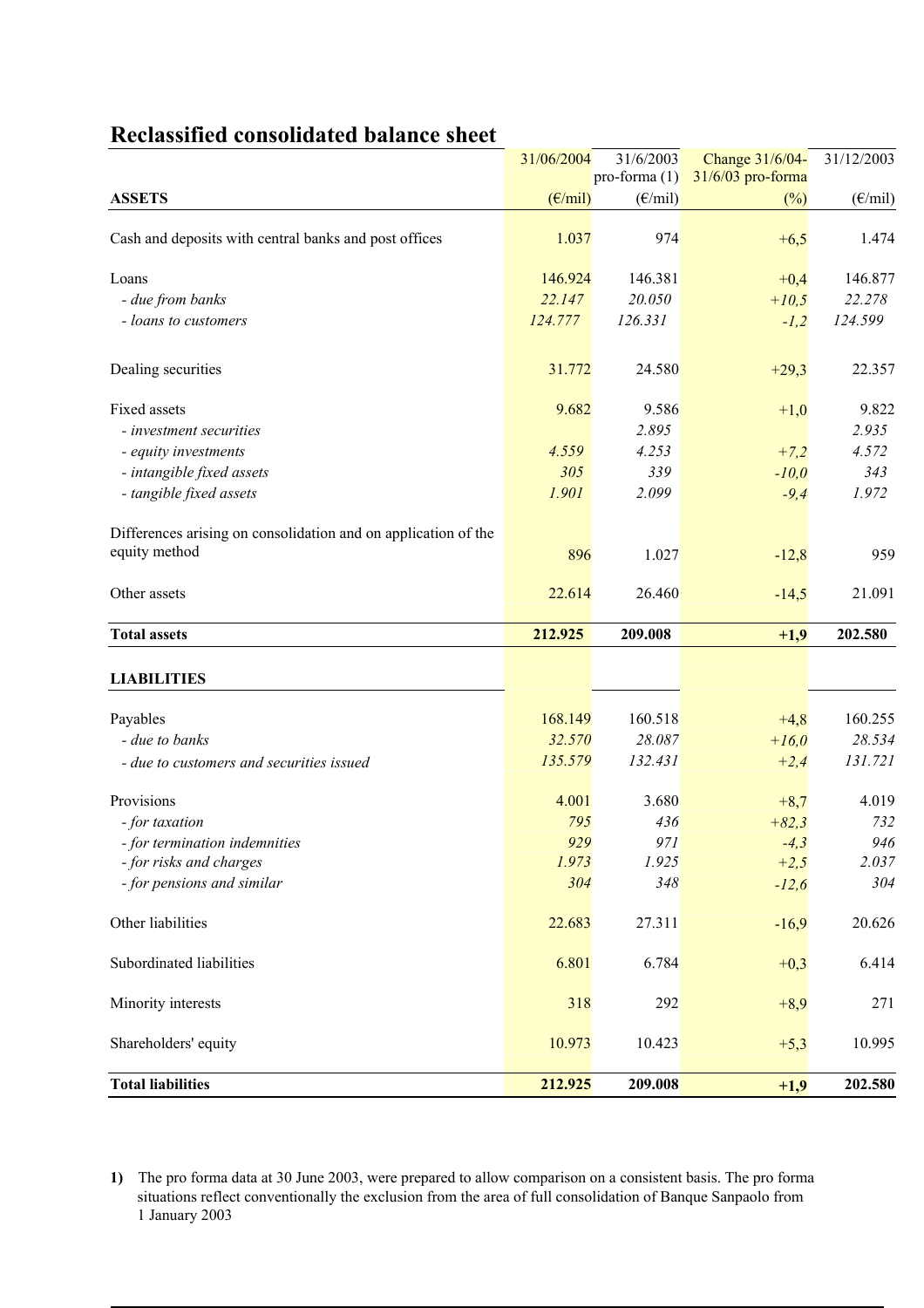|                                                                | 31/06/2004       | 31/6/2003               | Change 31/6/04-   | 31/12/2003                                                                                    |  |
|----------------------------------------------------------------|------------------|-------------------------|-------------------|-----------------------------------------------------------------------------------------------|--|
|                                                                |                  | pro-forma $(1)$         | 31/6/03 pro-forma |                                                                                               |  |
| <b>ASSETS</b>                                                  | $(E/\text{mil})$ | $(\epsilon/\text{mil})$ | $(\%)$            | $(\epsilon$ /mil)                                                                             |  |
| Cash and deposits with central banks and post offices          | 1.037            | 974                     | $+6,5$            | 1.474                                                                                         |  |
| Loans                                                          | 146.924          | 146.381                 | $+0,4$            | 146.877                                                                                       |  |
| - due from banks                                               | 22.147           | 20.050                  | $+10,5$           | 22.278                                                                                        |  |
| - loans to customers                                           | 124.777          | 126.331                 | $-1,2$            | 124.599                                                                                       |  |
| Dealing securities                                             | 31.772           | 24.580                  | $+29,3$           | 22.357                                                                                        |  |
| Fixed assets                                                   | 9.682            | 9.586                   | $+1,0$            | 9.822                                                                                         |  |
| - investment securities                                        |                  | 2.895                   |                   | 2.935                                                                                         |  |
| - equity investments                                           | 4.559            | 4.253                   | $+7,2$            | 4.572                                                                                         |  |
| - intangible fixed assets                                      | 305              | 339                     | $-10,0$           | 343                                                                                           |  |
| - tangible fixed assets                                        | 1.901            | 2.099                   | $-9,4$            | 1.972                                                                                         |  |
| Differences arising on consolidation and on application of the |                  |                         |                   |                                                                                               |  |
| equity method                                                  | 896              | 1.027                   | $-12,8$           | 959                                                                                           |  |
| Other assets                                                   | 22.614           | 26.460                  | $-14,5$           | 21.091                                                                                        |  |
|                                                                |                  |                         |                   |                                                                                               |  |
| <b>Total assets</b>                                            | 212.925          | 209.008                 | $+1,9$            | 202.580                                                                                       |  |
|                                                                |                  |                         |                   |                                                                                               |  |
| <b>LIABILITIES</b>                                             |                  |                         |                   |                                                                                               |  |
| Payables                                                       | 168.149          | 160.518                 | $+4,8$            |                                                                                               |  |
| - due to banks                                                 | 32.570           | 28.087                  | $+16,0$           |                                                                                               |  |
| - due to customers and securities issued                       | 135.579          | 132.431                 | $+2,4$            |                                                                                               |  |
| Provisions                                                     | 4.001            | 3.680                   | $+8,7$            |                                                                                               |  |
| - for taxation                                                 | 795              | 436                     | $+82,3$           |                                                                                               |  |
| - for termination indemnities                                  | 929              | 971                     | $-4,3$            |                                                                                               |  |
| - for risks and charges                                        | 1.973            | 1.925                   | $+2,5$            |                                                                                               |  |
| - for pensions and similar                                     | 304              | 348                     | $-12,6$           |                                                                                               |  |
| Other liabilities                                              | 22.683           | 27.311                  | $-16,9$           |                                                                                               |  |
| Subordinated liabilities                                       | 6.801            | 6.784                   | $+0,3$            |                                                                                               |  |
| Minority interests                                             | 318              | 292                     | $+8,9$            | 160.255<br>28.534<br>131.721<br>4.019<br>732<br>946<br>2.037<br>304<br>20.626<br>6.414<br>271 |  |
| Shareholders' equity                                           | 10.973           | 10.423                  | $+5,3$            | 10.995                                                                                        |  |

## **Reclassified consolidated balance sheet**

**1)** The pro forma data at 30 June 2003, were prepared to allow comparison on a consistent basis. The pro forma situations reflect conventionally the exclusion from the area of full consolidation of Banque Sanpaolo from 1 January 2003